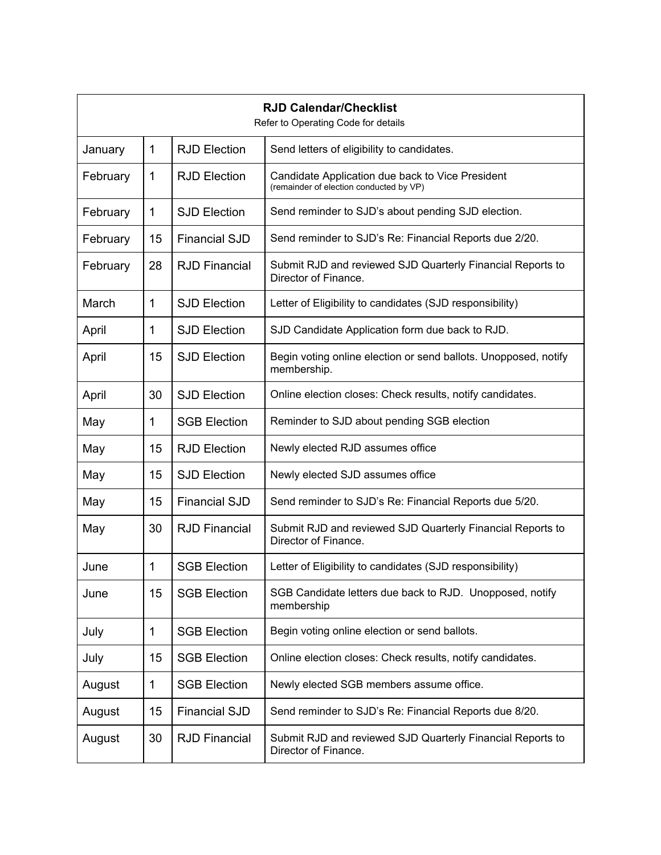| <b>RJD Calendar/Checklist</b><br>Refer to Operating Code for details |    |                      |                                                                                             |  |
|----------------------------------------------------------------------|----|----------------------|---------------------------------------------------------------------------------------------|--|
| January                                                              | 1  | <b>RJD Election</b>  | Send letters of eligibility to candidates.                                                  |  |
| February                                                             | 1  | <b>RJD Election</b>  | Candidate Application due back to Vice President<br>(remainder of election conducted by VP) |  |
| February                                                             | 1  | <b>SJD Election</b>  | Send reminder to SJD's about pending SJD election.                                          |  |
| February                                                             | 15 | <b>Financial SJD</b> | Send reminder to SJD's Re: Financial Reports due 2/20.                                      |  |
| February                                                             | 28 | <b>RJD Financial</b> | Submit RJD and reviewed SJD Quarterly Financial Reports to<br>Director of Finance.          |  |
| March                                                                | 1  | <b>SJD Election</b>  | Letter of Eligibility to candidates (SJD responsibility)                                    |  |
| April                                                                | 1  | <b>SJD Election</b>  | SJD Candidate Application form due back to RJD.                                             |  |
| April                                                                | 15 | <b>SJD Election</b>  | Begin voting online election or send ballots. Unopposed, notify<br>membership.              |  |
| April                                                                | 30 | <b>SJD Election</b>  | Online election closes: Check results, notify candidates.                                   |  |
| May                                                                  | 1  | <b>SGB Election</b>  | Reminder to SJD about pending SGB election                                                  |  |
| May                                                                  | 15 | <b>RJD Election</b>  | Newly elected RJD assumes office                                                            |  |
| May                                                                  | 15 | <b>SJD Election</b>  | Newly elected SJD assumes office                                                            |  |
| May                                                                  | 15 | <b>Financial SJD</b> | Send reminder to SJD's Re: Financial Reports due 5/20.                                      |  |
| May                                                                  | 30 | <b>RJD Financial</b> | Submit RJD and reviewed SJD Quarterly Financial Reports to<br>Director of Finance.          |  |
| June                                                                 | 1  | <b>SGB Election</b>  | Letter of Eligibility to candidates (SJD responsibility)                                    |  |
| June                                                                 | 15 | <b>SGB Election</b>  | SGB Candidate letters due back to RJD. Unopposed, notify<br>membership                      |  |
| July                                                                 | 1  | <b>SGB Election</b>  | Begin voting online election or send ballots.                                               |  |
| July                                                                 | 15 | <b>SGB Election</b>  | Online election closes: Check results, notify candidates.                                   |  |
| August                                                               | 1  | <b>SGB Election</b>  | Newly elected SGB members assume office.                                                    |  |
| August                                                               | 15 | <b>Financial SJD</b> | Send reminder to SJD's Re: Financial Reports due 8/20.                                      |  |
| August                                                               | 30 | <b>RJD Financial</b> | Submit RJD and reviewed SJD Quarterly Financial Reports to<br>Director of Finance.          |  |